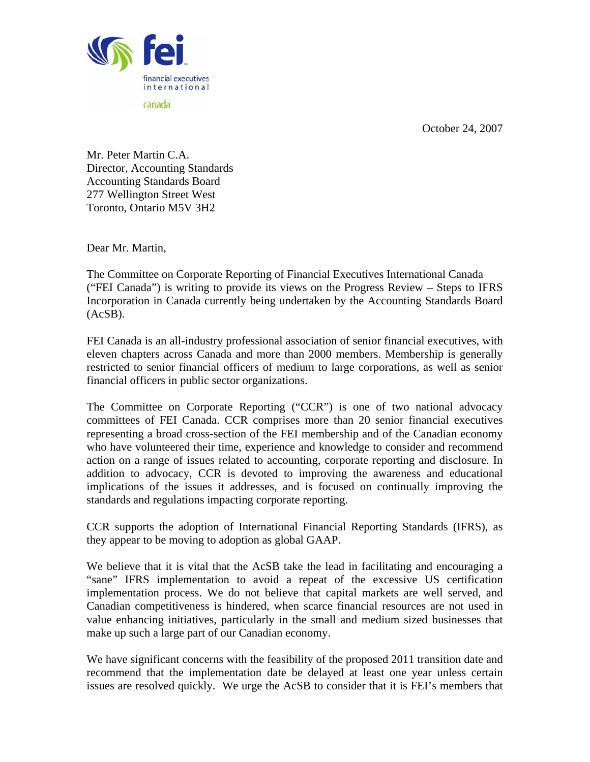October 24, 2007



Mr. Peter Martin C.A. Director, Accounting Standards Accounting Standards Board 277 Wellington Street West Toronto, Ontario M5V 3H2

Dear Mr. Martin,

The Committee on Corporate Reporting of Financial Executives International Canada ("FEI Canada") is writing to provide its views on the Progress Review – Steps to IFRS Incorporation in Canada currently being undertaken by the Accounting Standards Board (AcSB).

FEI Canada is an all-industry professional association of senior financial executives, with eleven chapters across Canada and more than 2000 members. Membership is generally restricted to senior financial officers of medium to large corporations, as well as senior financial officers in public sector organizations.

The Committee on Corporate Reporting ("CCR") is one of two national advocacy committees of FEI Canada. CCR comprises more than 20 senior financial executives representing a broad cross-section of the FEI membership and of the Canadian economy who have volunteered their time, experience and knowledge to consider and recommend action on a range of issues related to accounting, corporate reporting and disclosure. In addition to advocacy, CCR is devoted to improving the awareness and educational implications of the issues it addresses, and is focused on continually improving the standards and regulations impacting corporate reporting.

CCR supports the adoption of International Financial Reporting Standards (IFRS), as they appear to be moving to adoption as global GAAP.

We believe that it is vital that the AcSB take the lead in facilitating and encouraging a "sane" IFRS implementation to avoid a repeat of the excessive US certification implementation process. We do not believe that capital markets are well served, and Canadian competitiveness is hindered, when scarce financial resources are not used in value enhancing initiatives, particularly in the small and medium sized businesses that make up such a large part of our Canadian economy.

We have significant concerns with the feasibility of the proposed 2011 transition date and recommend that the implementation date be delayed at least one year unless certain issues are resolved quickly. We urge the AcSB to consider that it is FEI's members that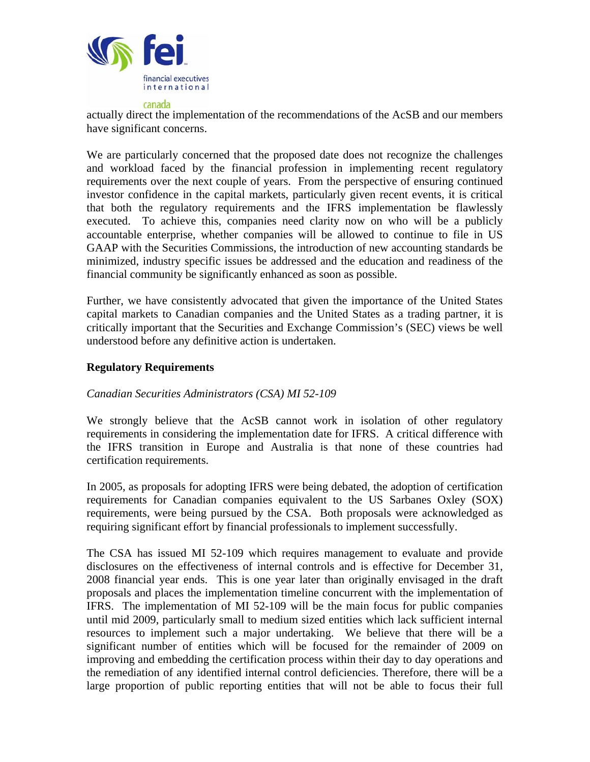

actually direct the implementation of the recommendations of the AcSB and our members have significant concerns.

We are particularly concerned that the proposed date does not recognize the challenges and workload faced by the financial profession in implementing recent regulatory requirements over the next couple of years. From the perspective of ensuring continued investor confidence in the capital markets, particularly given recent events, it is critical that both the regulatory requirements and the IFRS implementation be flawlessly executed. To achieve this, companies need clarity now on who will be a publicly accountable enterprise, whether companies will be allowed to continue to file in US GAAP with the Securities Commissions, the introduction of new accounting standards be minimized, industry specific issues be addressed and the education and readiness of the financial community be significantly enhanced as soon as possible.

Further, we have consistently advocated that given the importance of the United States capital markets to Canadian companies and the United States as a trading partner, it is critically important that the Securities and Exchange Commission's (SEC) views be well understood before any definitive action is undertaken.

# **Regulatory Requirements**

## *Canadian Securities Administrators (CSA) MI 52-109*

We strongly believe that the AcSB cannot work in isolation of other regulatory requirements in considering the implementation date for IFRS. A critical difference with the IFRS transition in Europe and Australia is that none of these countries had certification requirements.

In 2005, as proposals for adopting IFRS were being debated, the adoption of certification requirements for Canadian companies equivalent to the US Sarbanes Oxley (SOX) requirements, were being pursued by the CSA. Both proposals were acknowledged as requiring significant effort by financial professionals to implement successfully.

The CSA has issued MI 52-109 which requires management to evaluate and provide disclosures on the effectiveness of internal controls and is effective for December 31, 2008 financial year ends. This is one year later than originally envisaged in the draft proposals and places the implementation timeline concurrent with the implementation of IFRS. The implementation of MI 52-109 will be the main focus for public companies until mid 2009, particularly small to medium sized entities which lack sufficient internal resources to implement such a major undertaking. We believe that there will be a significant number of entities which will be focused for the remainder of 2009 on improving and embedding the certification process within their day to day operations and the remediation of any identified internal control deficiencies. Therefore, there will be a large proportion of public reporting entities that will not be able to focus their full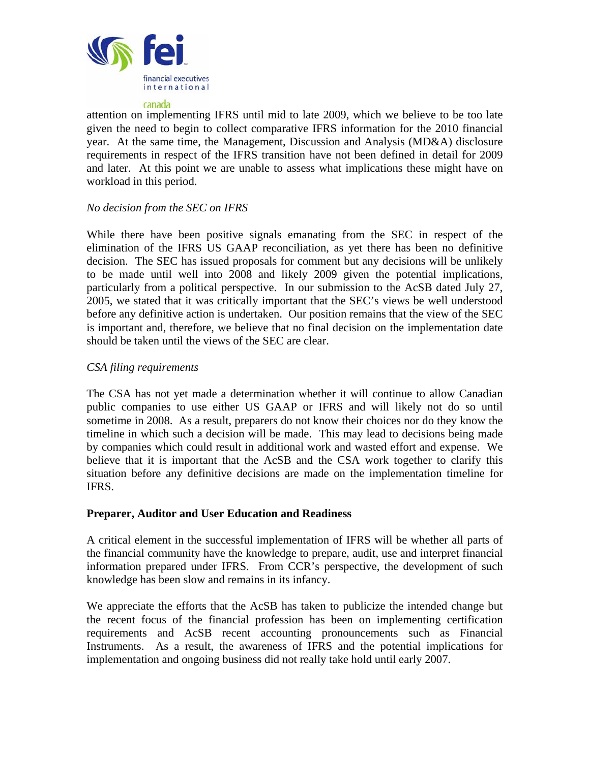

attention on implementing IFRS until mid to late 2009, which we believe to be too late given the need to begin to collect comparative IFRS information for the 2010 financial year. At the same time, the Management, Discussion and Analysis (MD&A) disclosure requirements in respect of the IFRS transition have not been defined in detail for 2009 and later. At this point we are unable to assess what implications these might have on workload in this period.

# *No decision from the SEC on IFRS*

While there have been positive signals emanating from the SEC in respect of the elimination of the IFRS US GAAP reconciliation, as yet there has been no definitive decision. The SEC has issued proposals for comment but any decisions will be unlikely to be made until well into 2008 and likely 2009 given the potential implications, particularly from a political perspective. In our submission to the AcSB dated July 27, 2005, we stated that it was critically important that the SEC's views be well understood before any definitive action is undertaken. Our position remains that the view of the SEC is important and, therefore, we believe that no final decision on the implementation date should be taken until the views of the SEC are clear.

## *CSA filing requirements*

The CSA has not yet made a determination whether it will continue to allow Canadian public companies to use either US GAAP or IFRS and will likely not do so until sometime in 2008. As a result, preparers do not know their choices nor do they know the timeline in which such a decision will be made. This may lead to decisions being made by companies which could result in additional work and wasted effort and expense. We believe that it is important that the AcSB and the CSA work together to clarify this situation before any definitive decisions are made on the implementation timeline for IFRS.

## **Preparer, Auditor and User Education and Readiness**

A critical element in the successful implementation of IFRS will be whether all parts of the financial community have the knowledge to prepare, audit, use and interpret financial information prepared under IFRS. From CCR's perspective, the development of such knowledge has been slow and remains in its infancy.

We appreciate the efforts that the AcSB has taken to publicize the intended change but the recent focus of the financial profession has been on implementing certification requirements and AcSB recent accounting pronouncements such as Financial Instruments. As a result, the awareness of IFRS and the potential implications for implementation and ongoing business did not really take hold until early 2007.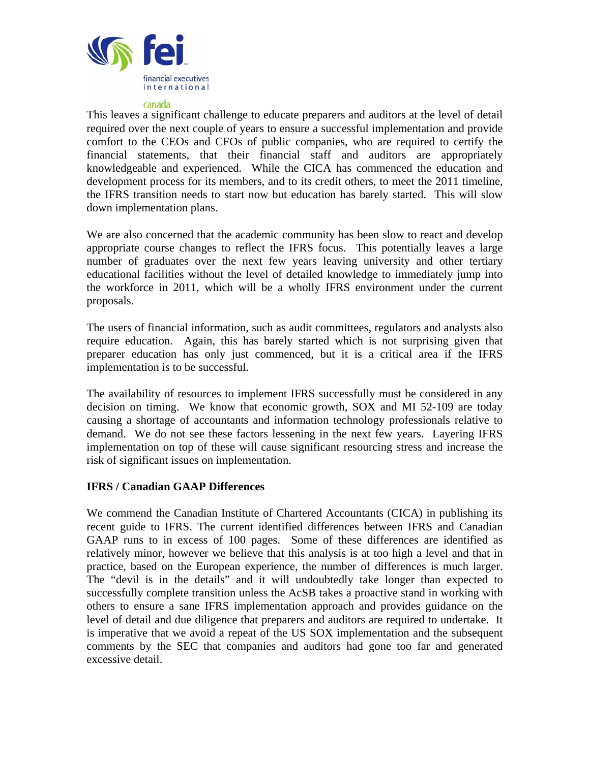

This leaves a significant challenge to educate preparers and auditors at the level of detail required over the next couple of years to ensure a successful implementation and provide comfort to the CEOs and CFOs of public companies, who are required to certify the financial statements, that their financial staff and auditors are appropriately knowledgeable and experienced. While the CICA has commenced the education and development process for its members, and to its credit others, to meet the 2011 timeline, the IFRS transition needs to start now but education has barely started. This will slow down implementation plans.

We are also concerned that the academic community has been slow to react and develop appropriate course changes to reflect the IFRS focus. This potentially leaves a large number of graduates over the next few years leaving university and other tertiary educational facilities without the level of detailed knowledge to immediately jump into the workforce in 2011, which will be a wholly IFRS environment under the current proposals.

The users of financial information, such as audit committees, regulators and analysts also require education. Again, this has barely started which is not surprising given that preparer education has only just commenced, but it is a critical area if the IFRS implementation is to be successful.

The availability of resources to implement IFRS successfully must be considered in any decision on timing. We know that economic growth, SOX and MI 52-109 are today causing a shortage of accountants and information technology professionals relative to demand. We do not see these factors lessening in the next few years. Layering IFRS implementation on top of these will cause significant resourcing stress and increase the risk of significant issues on implementation.

## **IFRS / Canadian GAAP Differences**

We commend the Canadian Institute of Chartered Accountants (CICA) in publishing its recent guide to IFRS. The current identified differences between IFRS and Canadian GAAP runs to in excess of 100 pages. Some of these differences are identified as relatively minor, however we believe that this analysis is at too high a level and that in practice, based on the European experience, the number of differences is much larger. The "devil is in the details" and it will undoubtedly take longer than expected to successfully complete transition unless the AcSB takes a proactive stand in working with others to ensure a sane IFRS implementation approach and provides guidance on the level of detail and due diligence that preparers and auditors are required to undertake. It is imperative that we avoid a repeat of the US SOX implementation and the subsequent comments by the SEC that companies and auditors had gone too far and generated excessive detail.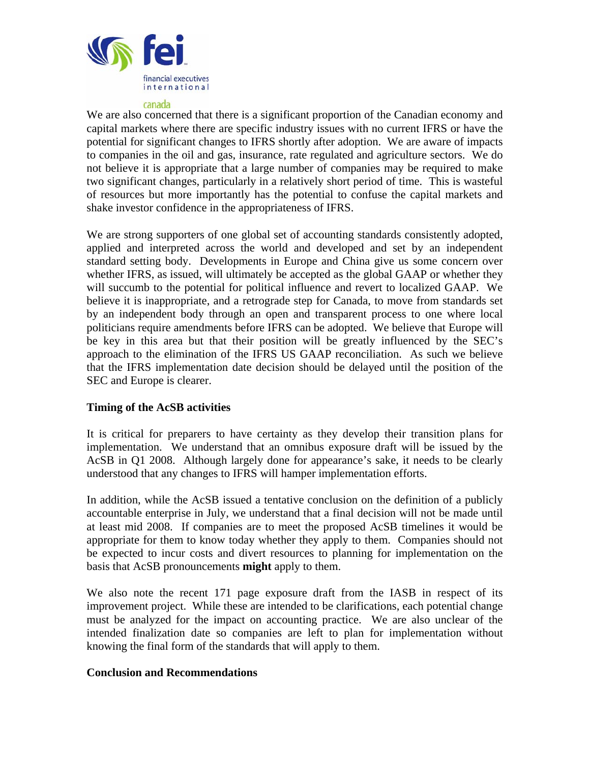

We are also concerned that there is a significant proportion of the Canadian economy and capital markets where there are specific industry issues with no current IFRS or have the potential for significant changes to IFRS shortly after adoption. We are aware of impacts to companies in the oil and gas, insurance, rate regulated and agriculture sectors. We do not believe it is appropriate that a large number of companies may be required to make two significant changes, particularly in a relatively short period of time. This is wasteful of resources but more importantly has the potential to confuse the capital markets and shake investor confidence in the appropriateness of IFRS.

We are strong supporters of one global set of accounting standards consistently adopted, applied and interpreted across the world and developed and set by an independent standard setting body. Developments in Europe and China give us some concern over whether IFRS, as issued, will ultimately be accepted as the global GAAP or whether they will succumb to the potential for political influence and revert to localized GAAP. We believe it is inappropriate, and a retrograde step for Canada, to move from standards set by an independent body through an open and transparent process to one where local politicians require amendments before IFRS can be adopted. We believe that Europe will be key in this area but that their position will be greatly influenced by the SEC's approach to the elimination of the IFRS US GAAP reconciliation. As such we believe that the IFRS implementation date decision should be delayed until the position of the SEC and Europe is clearer.

## **Timing of the AcSB activities**

It is critical for preparers to have certainty as they develop their transition plans for implementation. We understand that an omnibus exposure draft will be issued by the AcSB in Q1 2008. Although largely done for appearance's sake, it needs to be clearly understood that any changes to IFRS will hamper implementation efforts.

In addition, while the AcSB issued a tentative conclusion on the definition of a publicly accountable enterprise in July, we understand that a final decision will not be made until at least mid 2008. If companies are to meet the proposed AcSB timelines it would be appropriate for them to know today whether they apply to them. Companies should not be expected to incur costs and divert resources to planning for implementation on the basis that AcSB pronouncements **might** apply to them.

We also note the recent 171 page exposure draft from the IASB in respect of its improvement project. While these are intended to be clarifications, each potential change must be analyzed for the impact on accounting practice. We are also unclear of the intended finalization date so companies are left to plan for implementation without knowing the final form of the standards that will apply to them.

### **Conclusion and Recommendations**